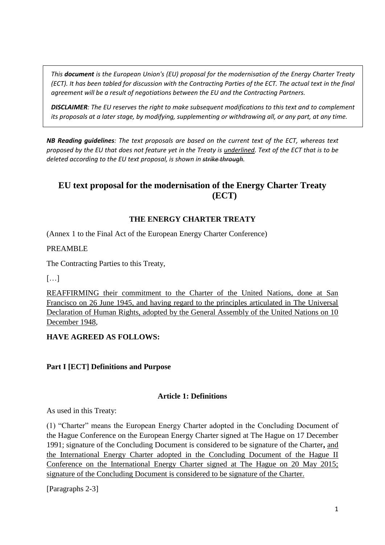*This document is the European Union's (EU) proposal for the modernisation of the Energy Charter Treaty (ECT). It has been tabled for discussion with the Contracting Parties of the ECT. The actual text in the final agreement will be a result of negotiations between the EU and the Contracting Partners.*

*DISCLAIMER: The EU reserves the right to make subsequent modifications to this text and to complement its proposals at a later stage, by modifying, supplementing or withdrawing all, or any part, at any time.*

*NB Reading guidelines: The text proposals are based on the current text of the ECT, whereas text proposed by the EU that does not feature yet in the Treaty is underlined. Text of the ECT that is to be deleted according to the EU text proposal, is shown in strike through.*

# **EU text proposal for the modernisation of the Energy Charter Treaty (ECT)**

## **THE ENERGY CHARTER TREATY**

(Annex 1 to the Final Act of the European Energy Charter Conference)

#### PREAMBLE

The Contracting Parties to this Treaty,

 $[\ldots]$ 

REAFFIRMING their commitment to the Charter of the United Nations, done at San Francisco on 26 June 1945, and having regard to the principles articulated in The Universal Declaration of Human Rights, adopted by the General Assembly of the United Nations on 10 December 1948,

### **HAVE AGREED AS FOLLOWS:**

#### **Part I [ECT] Definitions and Purpose**

#### **Article 1: Definitions**

As used in this Treaty:

(1) "Charter" means the European Energy Charter adopted in the Concluding Document of the Hague Conference on the European Energy Charter signed at The Hague on 17 December 1991; signature of the Concluding Document is considered to be signature of the Charter**,** and the International Energy Charter adopted in the Concluding Document of the Hague II Conference on the International Energy Charter signed at The Hague on 20 May 2015; signature of the Concluding Document is considered to be signature of the Charter.

[Paragraphs 2-3]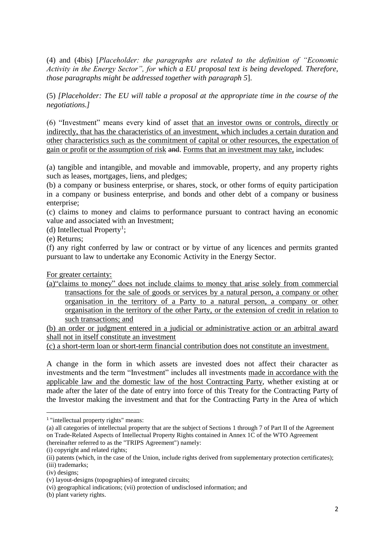(4) and (4bis) [*Placeholder: the paragraphs are related to the definition of "Economic Activity in the Energy Sector", for which a EU proposal text is being developed. Therefore, those paragraphs might be addressed together with paragraph 5*].

(5) *[Placeholder: The EU will table a proposal at the appropriate time in the course of the negotiations.]*

(6) "Investment" means every kind of asset that an investor owns or controls, directly or indirectly, that has the characteristics of an investment, which includes a certain duration and other characteristics such as the commitment of capital or other resources, the expectation of gain or profit or the assumption of risk and. Forms that an investment may take, includes:

(a) tangible and intangible, and movable and immovable, property, and any property rights such as leases, mortgages, liens, and pledges;

(b) a company or business enterprise, or shares, stock, or other forms of equity participation in a company or business enterprise, and bonds and other debt of a company or business enterprise:

(c) claims to money and claims to performance pursuant to contract having an economic value and associated with an Investment;

(d) Intellectual Property<sup>1</sup>;

(e) Returns;

(f) any right conferred by law or contract or by virtue of any licences and permits granted pursuant to law to undertake any Economic Activity in the Energy Sector.

For greater certainty:

(a)"claims to money" does not include claims to money that arise solely from commercial transactions for the sale of goods or services by a natural person, a company or other organisation in the territory of a Party to a natural person, a company or other organisation in the territory of the other Party, or the extension of credit in relation to such transactions; and

(b) an order or judgment entered in a judicial or administrative action or an arbitral award shall not in itself constitute an investment

(c) a short-term loan or short-term financial contribution does not constitute an investment.

A change in the form in which assets are invested does not affect their character as investments and the term "Investment" includes all investments made in accordance with the applicable law and the domestic law of the host Contracting Party, whether existing at or made after the later of the date of entry into force of this Treaty for the Contracting Party of the Investor making the investment and that for the Contracting Party in the Area of which

1

<sup>&</sup>lt;sup>1</sup> "intellectual property rights" means:

<sup>(</sup>a) all categories of intellectual property that are the subject of Sections 1 through 7 of Part II of the Agreement on Trade-Related Aspects of Intellectual Property Rights contained in Annex 1C of the WTO Agreement (hereinafter referred to as the "TRIPS Agreement") namely:

<sup>(</sup>i) copyright and related rights;

<sup>(</sup>ii) patents (which, in the case of the Union, include rights derived from supplementary protection certificates); (iii) trademarks;

<sup>(</sup>iv) designs;

<sup>(</sup>v) layout-designs (topographies) of integrated circuits;

<sup>(</sup>vi) geographical indications; (vii) protection of undisclosed information; and

<sup>(</sup>b) plant variety rights.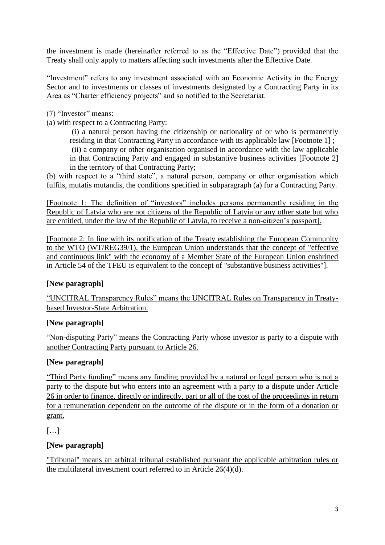the investment is made (hereinafter referred to as the "Effective Date") provided that the Treaty shall only apply to matters affecting such investments after the Effective Date.

"Investment" refers to any investment associated with an Economic Activity in the Energy Sector and to investments or classes of investments designated by a Contracting Party in its Area as "Charter efficiency projects" and so notified to the Secretariat.

(7) "Investor" means:

(a) with respect to a Contracting Party:

(i) a natural person having the citizenship or nationality of or who is permanently residing in that Contracting Party in accordance with its applicable law [Footnote 1] ; (ii) a company or other organisation organised in accordance with the law applicable in that Contracting Party and engaged in substantive business activities [Footnote 2] in the territory of that Contracting Party;

(b) with respect to a "third state", a natural person, company or other organisation which fulfils, mutatis mutandis, the conditions specified in subparagraph (a) for a Contracting Party.

[Footnote 1: The definition of "investors" includes persons permanently residing in the Republic of Latvia who are not citizens of the Republic of Latvia or any other state but who are entitled, under the law of the Republic of Latvia, to receive a non-citizen's passport].

[Footnote 2: In line with its notification of the Treaty establishing the European Community to the WTO (WT/REG39/1), the European Union understands that the concept of "effective and continuous link" with the economy of a Member State of the European Union enshrined in Article 54 of the TFEU is equivalent to the concept of "substantive business activities"].

# **[New paragraph]**

"UNCITRAL Transparency Rules" means the UNCITRAL Rules on Transparency in Treatybased Investor-State Arbitration.

# **[New paragraph]**

"Non-disputing Party" means the Contracting Party whose investor is party to a dispute with another Contracting Party pursuant to Article 26.

# **[New paragraph]**

"Third Party funding" means any funding provided by a natural or legal person who is not a party to the dispute but who enters into an agreement with a party to a dispute under Article 26 in order to finance, directly or indirectly, part or all of the cost of the proceedings in return for a remuneration dependent on the outcome of the dispute or in the form of a donation or grant.

 $[\dots]$ 

# **[New paragraph]**

"Tribunal" means an arbitral tribunal established pursuant the applicable arbitration rules or the multilateral investment court referred to in Article 26(4)(d).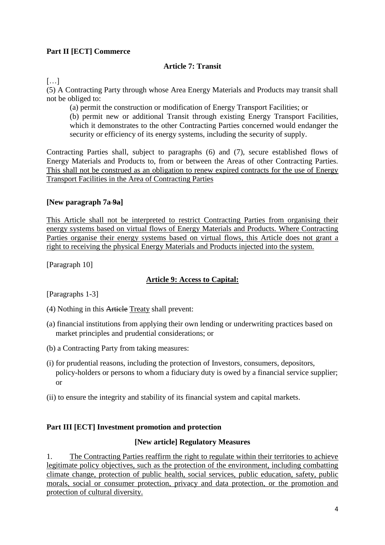## **Part II [ECT] Commerce**

### **Article 7: Transit**

# […]

(5) A Contracting Party through whose Area Energy Materials and Products may transit shall not be obliged to:

(a) permit the construction or modification of Energy Transport Facilities; or

(b) permit new or additional Transit through existing Energy Transport Facilities, which it demonstrates to the other Contracting Parties concerned would endanger the security or efficiency of its energy systems, including the security of supply.

Contracting Parties shall, subject to paragraphs (6) and (7), secure established flows of Energy Materials and Products to, from or between the Areas of other Contracting Parties. This shall not be construed as an obligation to renew expired contracts for the use of Energy Transport Facilities in the Area of Contracting Parties

### **[New paragraph 7a 9a]**

This Article shall not be interpreted to restrict Contracting Parties from organising their energy systems based on virtual flows of Energy Materials and Products. Where Contracting Parties organise their energy systems based on virtual flows, this Article does not grant a right to receiving the physical Energy Materials and Products injected into the system.

[Paragraph 10]

### **Article 9: Access to Capital:**

[Paragraphs 1-3]

(4) Nothing in this Article Treaty shall prevent:

- (a) financial institutions from applying their own lending or underwriting practices based on market principles and prudential considerations; or
- (b) a Contracting Party from taking measures:
- (i) for prudential reasons, including the protection of Investors, consumers, depositors, policy-holders or persons to whom a fiduciary duty is owed by a financial service supplier; or
- (ii) to ensure the integrity and stability of its financial system and capital markets.

### **Part III [ECT] Investment promotion and protection**

#### **[New article] Regulatory Measures**

1. The Contracting Parties reaffirm the right to regulate within their territories to achieve legitimate policy objectives, such as the protection of the environment, including combatting climate change, protection of public health, social services, public education, safety, public morals, social or consumer protection, privacy and data protection, or the promotion and protection of cultural diversity.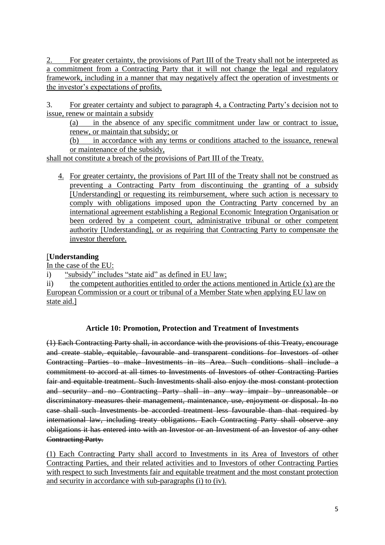2. For greater certainty, the provisions of Part III of the Treaty shall not be interpreted as a commitment from a Contracting Party that it will not change the legal and regulatory framework, including in a manner that may negatively affect the operation of investments or the investor's expectations of profits.

3. For greater certainty and subject to paragraph 4, a Contracting Party's decision not to issue, renew or maintain a subsidy

(a) in the absence of any specific commitment under law or contract to issue, renew, or maintain that subsidy; or

(b) in accordance with any terms or conditions attached to the issuance, renewal or maintenance of the subsidy,

shall not constitute a breach of the provisions of Part III of the Treaty.

4. For greater certainty, the provisions of Part III of the Treaty shall not be construed as preventing a Contracting Party from discontinuing the granting of a subsidy [Understanding] or requesting its reimbursement, where such action is necessary to comply with obligations imposed upon the Contracting Party concerned by an international agreement establishing a Regional Economic Integration Organisation or been ordered by a competent court, administrative tribunal or other competent authority [Understanding], or as requiring that Contracting Party to compensate the investor therefore.

#### [**Understanding**

In the case of the EU:

i) "subsidy" includes "state aid" as defined in EU law;

ii) the competent authorities entitled to order the actions mentioned in Article (x) are the European Commission or a court or tribunal of a Member State when applying EU law on state aid.]

#### **Article 10: Promotion, Protection and Treatment of Investments**

(1) Each Contracting Party shall, in accordance with the provisions of this Treaty, encourage and create stable, equitable, favourable and transparent conditions for Investors of other Contracting Parties to make Investments in its Area. Such conditions shall include a commitment to accord at all times to Investments of Investors of other Contracting Parties fair and equitable treatment. Such Investments shall also enjoy the most constant protection and security and no Contracting Party shall in any way impair by unreasonable or discriminatory measures their management, maintenance, use, enjoyment or disposal. In no case shall such Investments be accorded treatment less favourable than that required by international law, including treaty obligations. Each Contracting Party shall observe any obligations it has entered into with an Investor or an Investment of an Investor of any other Contracting Party.

(1) Each Contracting Party shall accord to Investments in its Area of Investors of other Contracting Parties, and their related activities and to Investors of other Contracting Parties with respect to such Investments fair and equitable treatment and the most constant protection and security in accordance with sub-paragraphs (i) to (iv).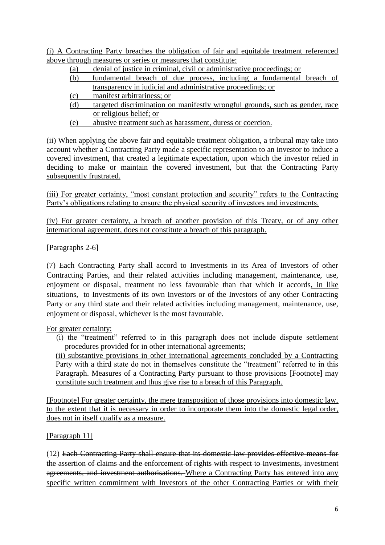(i) A Contracting Party breaches the obligation of fair and equitable treatment referenced above through measures or series or measures that constitute:

- (a) denial of justice in criminal, civil or administrative proceedings; or
- (b) fundamental breach of due process, including a fundamental breach of transparency in judicial and administrative proceedings; or
- (c) manifest arbitrariness; or
- (d) targeted discrimination on manifestly wrongful grounds, such as gender, race or religious belief; or
- (e) abusive treatment such as harassment, duress or coercion.

(ii) When applying the above fair and equitable treatment obligation, a tribunal may take into account whether a Contracting Party made a specific representation to an investor to induce a covered investment, that created a legitimate expectation, upon which the investor relied in deciding to make or maintain the covered investment, but that the Contracting Party subsequently frustrated.

(iii) For greater certainty, "most constant protection and security" refers to the Contracting Party's obligations relating to ensure the physical security of investors and investments.

(iv) For greater certainty, a breach of another provision of this Treaty, or of any other international agreement, does not constitute a breach of this paragraph.

[Paragraphs 2-6]

(7) Each Contracting Party shall accord to Investments in its Area of Investors of other Contracting Parties, and their related activities including management, maintenance, use, enjoyment or disposal, treatment no less favourable than that which it accords, in like situations, to Investments of its own Investors or of the Investors of any other Contracting Party or any third state and their related activities including management, maintenance, use, enjoyment or disposal, whichever is the most favourable.

For greater certainty:

(i) the "treatment" referred to in this paragraph does not include dispute settlement procedures provided for in other international agreements;

(ii) substantive provisions in other international agreements concluded by a Contracting Party with a third state do not in themselves constitute the "treatment" referred to in this Paragraph. Measures of a Contracting Party pursuant to those provisions [Footnote] may constitute such treatment and thus give rise to a breach of this Paragraph.

[Footnote] For greater certainty, the mere transposition of those provisions into domestic law, to the extent that it is necessary in order to incorporate them into the domestic legal order, does not in itself qualify as a measure.

### [Paragraph 11]

(12) Each Contracting Party shall ensure that its domestic law provides effective means for the assertion of claims and the enforcement of rights with respect to Investments, investment agreements, and investment authorisations. Where a Contracting Party has entered into any specific written commitment with Investors of the other Contracting Parties or with their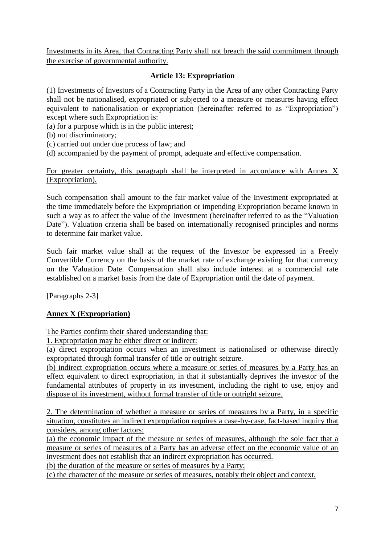Investments in its Area, that Contracting Party shall not breach the said commitment through the exercise of governmental authority.

### **Article 13: Expropriation**

(1) Investments of Investors of a Contracting Party in the Area of any other Contracting Party shall not be nationalised, expropriated or subjected to a measure or measures having effect equivalent to nationalisation or expropriation (hereinafter referred to as "Expropriation") except where such Expropriation is:

- (a) for a purpose which is in the public interest;
- (b) not discriminatory;
- (c) carried out under due process of law; and
- (d) accompanied by the payment of prompt, adequate and effective compensation.

For greater certainty, this paragraph shall be interpreted in accordance with Annex X (Expropriation).

Such compensation shall amount to the fair market value of the Investment expropriated at the time immediately before the Expropriation or impending Expropriation became known in such a way as to affect the value of the Investment (hereinafter referred to as the "Valuation Date"). Valuation criteria shall be based on internationally recognised principles and norms to determine fair market value.

Such fair market value shall at the request of the Investor be expressed in a Freely Convertible Currency on the basis of the market rate of exchange existing for that currency on the Valuation Date. Compensation shall also include interest at a commercial rate established on a market basis from the date of Expropriation until the date of payment.

[Paragraphs 2-3]

### **Annex X (Expropriation)**

The Parties confirm their shared understanding that:

1. Expropriation may be either direct or indirect:

(a) direct expropriation occurs when an investment is nationalised or otherwise directly expropriated through formal transfer of title or outright seizure.

(b) indirect expropriation occurs where a measure or series of measures by a Party has an effect equivalent to direct expropriation, in that it substantially deprives the investor of the fundamental attributes of property in its investment, including the right to use, enjoy and dispose of its investment, without formal transfer of title or outright seizure.

2. The determination of whether a measure or series of measures by a Party, in a specific situation, constitutes an indirect expropriation requires a case-by-case, fact-based inquiry that considers, among other factors:

(a) the economic impact of the measure or series of measures, although the sole fact that a measure or series of measures of a Party has an adverse effect on the economic value of an investment does not establish that an indirect expropriation has occurred.

(b) the duration of the measure or series of measures by a Party;

(c) the character of the measure or series of measures, notably their object and context.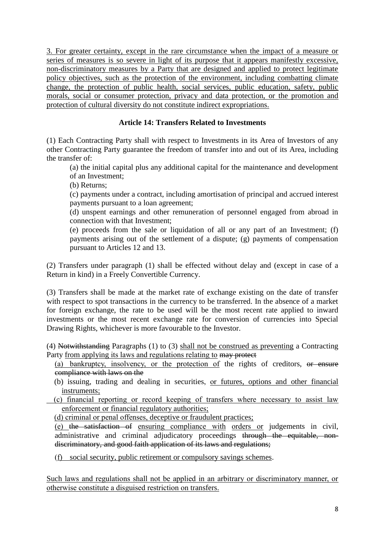3. For greater certainty, except in the rare circumstance when the impact of a measure or series of measures is so severe in light of its purpose that it appears manifestly excessive, non-discriminatory measures by a Party that are designed and applied to protect legitimate policy objectives, such as the protection of the environment, including combatting climate change, the protection of public health, social services, public education, safety, public morals, social or consumer protection, privacy and data protection, or the promotion and protection of cultural diversity do not constitute indirect expropriations.

### **Article 14: Transfers Related to Investments**

(1) Each Contracting Party shall with respect to Investments in its Area of Investors of any other Contracting Party guarantee the freedom of transfer into and out of its Area, including the transfer of:

(a) the initial capital plus any additional capital for the maintenance and development of an Investment;

(b) Returns;

(c) payments under a contract, including amortisation of principal and accrued interest payments pursuant to a loan agreement;

(d) unspent earnings and other remuneration of personnel engaged from abroad in connection with that Investment;

(e) proceeds from the sale or liquidation of all or any part of an Investment; (f) payments arising out of the settlement of a dispute; (g) payments of compensation pursuant to Articles 12 and 13.

(2) Transfers under paragraph (1) shall be effected without delay and (except in case of a Return in kind) in a Freely Convertible Currency.

(3) Transfers shall be made at the market rate of exchange existing on the date of transfer with respect to spot transactions in the currency to be transferred. In the absence of a market for foreign exchange, the rate to be used will be the most recent rate applied to inward investments or the most recent exchange rate for conversion of currencies into Special Drawing Rights, whichever is more favourable to the Investor.

(4) Notwithstanding Paragraphs (1) to (3) shall not be construed as preventing a Contracting Party from applying its laws and regulations relating to may protect

(a) bankruptcy, insolvency, or the protection of the rights of creditors, or ensure compliance with laws on the

 (b) issuing, trading and dealing in securities, or futures, options and other financial instruments;

(c) financial reporting or record keeping of transfers where necessary to assist law enforcement or financial regulatory authorities;

(d) criminal or penal offenses, deceptive or fraudulent practices;

(e) the satisfaction of ensuring compliance with orders or judgements in civil, administrative and criminal adjudicatory proceedings through the equitable, nondiscriminatory, and good faith application of its laws and regulations;

(f) social security, public retirement or compulsory savings schemes.

Such laws and regulations shall not be applied in an arbitrary or discriminatory manner, or otherwise constitute a disguised restriction on transfers.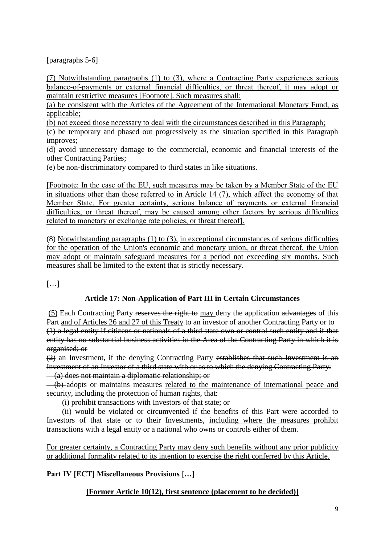[paragraphs 5-6]

(7) Notwithstanding paragraphs (1) to (3), where a Contracting Party experiences serious balance-of-payments or external financial difficulties, or threat thereof, it may adopt or maintain restrictive measures [Footnote]. Such measures shall:

(a) be consistent with the Articles of the Agreement of the International Monetary Fund, as applicable:

(b) not exceed those necessary to deal with the circumstances described in this Paragraph;

(c) be temporary and phased out progressively as the situation specified in this Paragraph improves;

(d) avoid unnecessary damage to the commercial, economic and financial interests of the other Contracting Parties;

(e) be non-discriminatory compared to third states in like situations.

[Footnote: In the case of the EU, such measures may be taken by a Member State of the EU in situations other than those referred to in Article 14 (7), which affect the economy of that Member State. For greater certainty, serious balance of payments or external financial difficulties, or threat thereof, may be caused among other factors by serious difficulties related to monetary or exchange rate policies, or threat thereof].

(8) Notwithstanding paragraphs (1) to (3), in exceptional circumstances of serious difficulties for the operation of the Union's economic and monetary union, or threat thereof, the Union may adopt or maintain safeguard measures for a period not exceeding six months. Such measures shall be limited to the extent that is strictly necessary.

[…]

#### **Article 17: Non-Application of Part III in Certain Circumstances**

(5) Each Contracting Party reserves the right to may deny the application advantages of this Part and of Articles 26 and 27 of this Treaty to an investor of another Contracting Party or to (1) a legal entity if citizens or nationals of a third state own or control such entity and if that entity has no substantial business activities in the Area of the Contracting Party in which it is organised; or

(2) an Investment, if the denying Contracting Party establishes that such Investment is an Investment of an Investor of a third state with or as to which the denying Contracting Party: (a) does not maintain a diplomatic relationship; or

 (b) adopts or maintains measures related to the maintenance of international peace and security, including the protection of human rights, that:

(i) prohibit transactions with Investors of that state; or

 (ii) would be violated or circumvented if the benefits of this Part were accorded to Investors of that state or to their Investments, including where the measures prohibit transactions with a legal entity or a national who owns or controls either of them.

For greater certainty, a Contracting Party may deny such benefits without any prior publicity or additional formality related to its intention to exercise the right conferred by this Article.

**Part IV [ECT] Miscellaneous Provisions […]**

#### **[Former Article 10(12), first sentence (placement to be decided)]**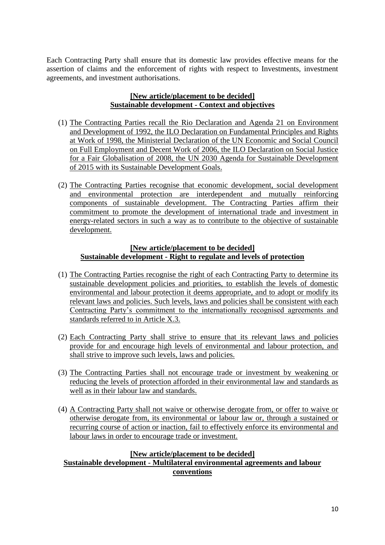Each Contracting Party shall ensure that its domestic law provides effective means for the assertion of claims and the enforcement of rights with respect to Investments, investment agreements, and investment authorisations.

#### **[New article/placement to be decided] Sustainable development - Context and objectives**

- (1) The Contracting Parties recall the Rio Declaration and Agenda 21 on Environment and Development of 1992, the ILO Declaration on Fundamental Principles and Rights at Work of 1998, the Ministerial Declaration of the UN Economic and Social Council on Full Employment and Decent Work of 2006, the ILO Declaration on Social Justice for a Fair Globalisation of 2008, the UN 2030 Agenda for Sustainable Development of 2015 with its Sustainable Development Goals.
- (2) The Contracting Parties recognise that economic development, social development and environmental protection are interdependent and mutually reinforcing components of sustainable development. The Contracting Parties affirm their commitment to promote the development of international trade and investment in energy-related sectors in such a way as to contribute to the objective of sustainable development.

#### **[New article/placement to be decided] Sustainable development - Right to regulate and levels of protection**

- (1) The Contracting Parties recognise the right of each Contracting Party to determine its sustainable development policies and priorities, to establish the levels of domestic environmental and labour protection it deems appropriate, and to adopt or modify its relevant laws and policies. Such levels, laws and policies shall be consistent with each Contracting Party's commitment to the internationally recognised agreements and standards referred to in Article X.3.
- (2) Each Contracting Party shall strive to ensure that its relevant laws and policies provide for and encourage high levels of environmental and labour protection, and shall strive to improve such levels, laws and policies.
- (3) The Contracting Parties shall not encourage trade or investment by weakening or reducing the levels of protection afforded in their environmental law and standards as well as in their labour law and standards.
- (4) A Contracting Party shall not waive or otherwise derogate from, or offer to waive or otherwise derogate from, its environmental or labour law or, through a sustained or recurring course of action or inaction, fail to effectively enforce its environmental and labour laws in order to encourage trade or investment.

#### **[New article/placement to be decided] Sustainable development** - **Multilateral environmental agreements and labour conventions**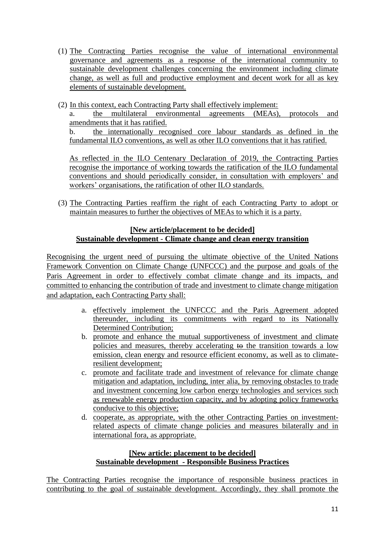- (1) The Contracting Parties recognise the value of international environmental governance and agreements as a response of the international community to sustainable development challenges concerning the environment including climate change, as well as full and productive employment and decent work for all as key elements of sustainable development.
- (2) In this context, each Contracting Party shall effectively implement:

a. the multilateral environmental agreements (MEAs), protocols and amendments that it has ratified.

b. the internationally recognised core labour standards as defined in the fundamental ILO conventions, as well as other ILO conventions that it has ratified.

As reflected in the ILO Centenary Declaration of 2019, the Contracting Parties recognise the importance of working towards the ratification of the ILO fundamental conventions and should periodically consider, in consultation with employers' and workers' organisations, the ratification of other ILO standards.

(3) The Contracting Parties reaffirm the right of each Contracting Party to adopt or maintain measures to further the objectives of MEAs to which it is a party.

#### **[New article/placement to be decided] Sustainable development** - **Climate change and clean energy transition**

Recognising the urgent need of pursuing the ultimate objective of the United Nations Framework Convention on Climate Change (UNFCCC) and the purpose and goals of the Paris Agreement in order to effectively combat climate change and its impacts, and committed to enhancing the contribution of trade and investment to climate change mitigation and adaptation, each Contracting Party shall:

- a. effectively implement the UNFCCC and the Paris Agreement adopted thereunder, including its commitments with regard to its Nationally Determined Contribution;
- b. promote and enhance the mutual supportiveness of investment and climate policies and measures, thereby accelerating to the transition towards a low emission, clean energy and resource efficient economy, as well as to climateresilient development;
- c. promote and facilitate trade and investment of relevance for climate change mitigation and adaptation, including, inter alia, by removing obstacles to trade and investment concerning low carbon energy technologies and services such as renewable energy production capacity, and by adopting policy frameworks conducive to this objective;
- d. cooperate, as appropriate, with the other Contracting Parties on investmentrelated aspects of climate change policies and measures bilaterally and in international fora, as appropriate.

### **[New article: placement to be decided] Sustainable development - Responsible Business Practices**

The Contracting Parties recognise the importance of responsible business practices in contributing to the goal of sustainable development. Accordingly, they shall promote the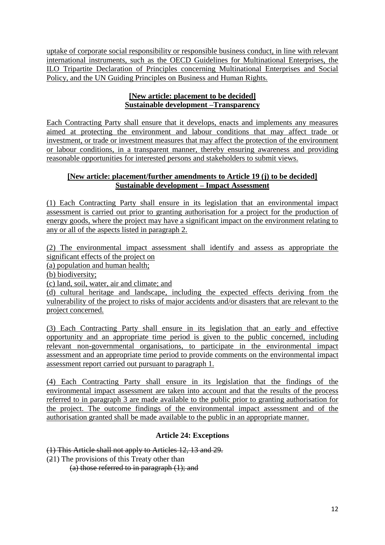uptake of corporate social responsibility or responsible business conduct, in line with relevant international instruments, such as the OECD Guidelines for Multinational Enterprises, the ILO Tripartite Declaration of Principles concerning Multinational Enterprises and Social Policy, and the UN Guiding Principles on Business and Human Rights.

#### **[New article: placement to be decided] Sustainable development –Transparency**

Each Contracting Party shall ensure that it develops, enacts and implements any measures aimed at protecting the environment and labour conditions that may affect trade or investment, or trade or investment measures that may affect the protection of the environment or labour conditions, in a transparent manner, thereby ensuring awareness and providing reasonable opportunities for interested persons and stakeholders to submit views.

### **[New article: placement/further amendments to Article 19 (j) to be decided] Sustainable development – Impact Assessment**

(1) Each Contracting Party shall ensure in its legislation that an environmental impact assessment is carried out prior to granting authorisation for a project for the production of energy goods, where the project may have a significant impact on the environment relating to any or all of the aspects listed in paragraph 2.

(2) The environmental impact assessment shall identify and assess as appropriate the significant effects of the project on

(a) population and human health;

(b) biodiversity;

(c) land, soil, water, air and climate; and

(d) cultural heritage and landscape, including the expected effects deriving from the vulnerability of the project to risks of major accidents and/or disasters that are relevant to the project concerned.

(3) Each Contracting Party shall ensure in its legislation that an early and effective opportunity and an appropriate time period is given to the public concerned, including relevant non-governmental organisations, to participate in the environmental impact assessment and an appropriate time period to provide comments on the environmental impact assessment report carried out pursuant to paragraph 1.

(4) Each Contracting Party shall ensure in its legislation that the findings of the environmental impact assessment are taken into account and that the results of the process referred to in paragraph 3 are made available to the public prior to granting authorisation for the project. The outcome findings of the environmental impact assessment and of the authorisation granted shall be made available to the public in an appropriate manner.

### **Article 24: Exceptions**

(1) This Article shall not apply to Articles 12, 13 and 29.

(21) The provisions of this Treaty other than (a) those referred to in paragraph (1); and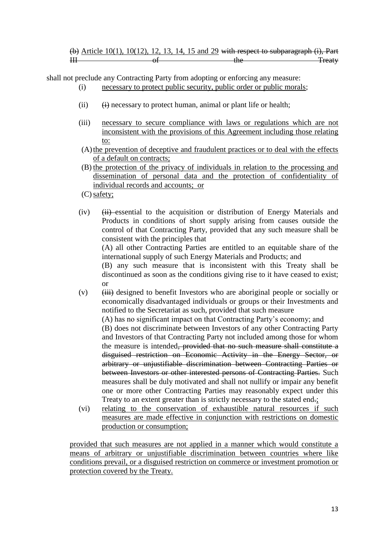shall not preclude any Contracting Party from adopting or enforcing any measure:

- (i) necessary to protect public security, public order or public morals;
- (ii)  $\qquad \qquad (i)$  necessary to protect human, animal or plant life or health;
- (iii) necessary to secure compliance with laws or regulations which are not inconsistent with the provisions of this Agreement including those relating to:
- (A)the prevention of deceptive and fraudulent practices or to deal with the effects of a default on contracts;
- (B) the protection of the privacy of individuals in relation to the processing and dissemination of personal data and the protection of confidentiality of individual records and accounts; or
- (C)safety;
- $(iv)$   $(ii)$  essential to the acquisition or distribution of Energy Materials and Products in conditions of short supply arising from causes outside the control of that Contracting Party, provided that any such measure shall be consistent with the principles that

(A) all other Contracting Parties are entitled to an equitable share of the international supply of such Energy Materials and Products; and

(B) any such measure that is inconsistent with this Treaty shall be discontinued as soon as the conditions giving rise to it have ceased to exist; or

- (v)  $(iii)$  designed to benefit Investors who are aboriginal people or socially or economically disadvantaged individuals or groups or their Investments and notified to the Secretariat as such, provided that such measure
	- (A) has no significant impact on that Contracting Party's economy; and

(B) does not discriminate between Investors of any other Contracting Party and Investors of that Contracting Party not included among those for whom the measure is intended, provided that no such measure shall constitute a disguised restriction on Economic Activity in the Energy Sector, or arbitrary or unjustifiable discrimination between Contracting Parties or between Investors or other interested persons of Contracting Parties. Such measures shall be duly motivated and shall not nullify or impair any benefit one or more other Contracting Parties may reasonably expect under this Treaty to an extent greater than is strictly necessary to the stated end.;

(vi) relating to the conservation of exhaustible natural resources if such measures are made effective in conjunction with restrictions on domestic production or consumption;

provided that such measures are not applied in a manner which would constitute a means of arbitrary or unjustifiable discrimination between countries where like conditions prevail, or a disguised restriction on commerce or investment promotion or protection covered by the Treaty.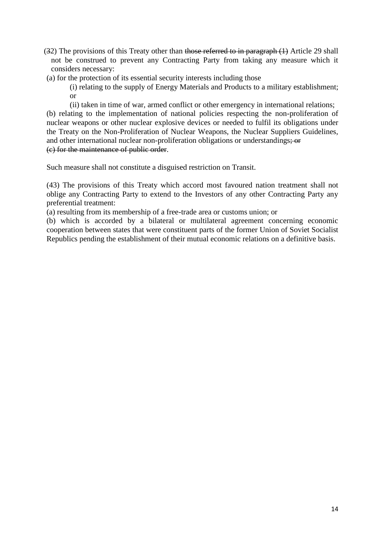- (32) The provisions of this Treaty other than those referred to in paragraph (1) Article 29 shall not be construed to prevent any Contracting Party from taking any measure which it considers necessary:
- (a) for the protection of its essential security interests including those
	- (i) relating to the supply of Energy Materials and Products to a military establishment; or

(ii) taken in time of war, armed conflict or other emergency in international relations;

(b) relating to the implementation of national policies respecting the non-proliferation of nuclear weapons or other nuclear explosive devices or needed to fulfil its obligations under the Treaty on the Non-Proliferation of Nuclear Weapons, the Nuclear Suppliers Guidelines, and other international nuclear non-proliferation obligations or understandings; or (c) for the maintenance of public order.

Such measure shall not constitute a disguised restriction on Transit.

(43) The provisions of this Treaty which accord most favoured nation treatment shall not oblige any Contracting Party to extend to the Investors of any other Contracting Party any preferential treatment:

(a) resulting from its membership of a free-trade area or customs union; or

(b) which is accorded by a bilateral or multilateral agreement concerning economic cooperation between states that were constituent parts of the former Union of Soviet Socialist Republics pending the establishment of their mutual economic relations on a definitive basis.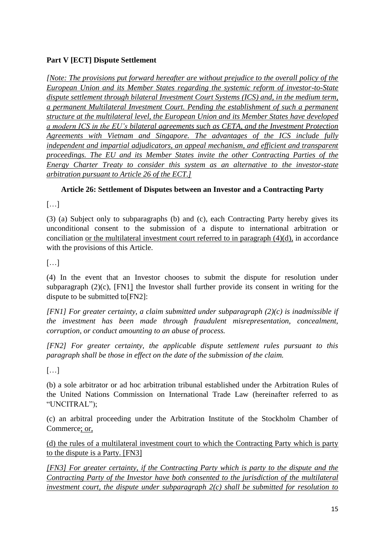## **Part V [ECT] Dispute Settlement**

*[Note: The provisions put forward hereafter are without prejudice to the overall policy of the European Union and its Member States regarding the systemic reform of investor-to-State dispute settlement through bilateral Investment Court Systems (ICS) and, in the medium term, a permanent Multilateral Investment Court. Pending the establishment of such a permanent structure at the multilateral level, the European Union and its Member States have developed a modern ICS in the EU's bilateral agreements such as CETA, and the Investment Protection Agreements with Vietnam and Singapore. The advantages of the ICS include fully independent and impartial adjudicators, an appeal mechanism, and efficient and transparent proceedings. The EU and its Member States invite the other Contracting Parties of the Energy Charter Treaty to consider this system as an alternative to the investor-state arbitration pursuant to Article 26 of the ECT.]*

### **Article 26: Settlement of Disputes between an Investor and a Contracting Party**

 $[\dots]$ 

(3) (a) Subject only to subparagraphs (b) and (c), each Contracting Party hereby gives its unconditional consent to the submission of a dispute to international arbitration or conciliation or the multilateral investment court referred to in paragraph (4)(d), in accordance with the provisions of this Article.

[…]

(4) In the event that an Investor chooses to submit the dispute for resolution under subparagraph  $(2)(c)$ , [FN1] the Investor shall further provide its consent in writing for the dispute to be submitted to[FN2]:

*[FN1] For greater certainty, a claim submitted under subparagraph (2)(c) is inadmissible if the investment has been made through fraudulent misrepresentation, concealment, corruption, or conduct amounting to an abuse of process.* 

*[FN2] For greater certainty, the applicable dispute settlement rules pursuant to this paragraph shall be those in effect on the date of the submission of the claim.* 

[…]

(b) a sole arbitrator or ad hoc arbitration tribunal established under the Arbitration Rules of the United Nations Commission on International Trade Law (hereinafter referred to as "UNCITRAL");

(c) an arbitral proceeding under the Arbitration Institute of the Stockholm Chamber of Commerce; or,

(d) the rules of a multilateral investment court to which the Contracting Party which is party to the dispute is a Party. [FN3]

*[FN3] For greater certainty, if the Contracting Party which is party to the dispute and the Contracting Party of the Investor have both consented to the jurisdiction of the multilateral investment court, the dispute under subparagraph 2(c) shall be submitted for resolution to*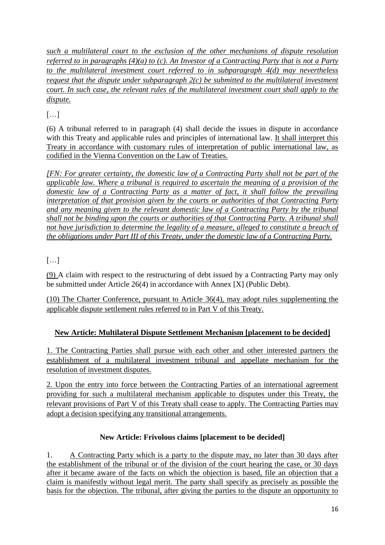*such a multilateral court to the exclusion of the other mechanisms of dispute resolution referred to in paragraphs (4)(a) to (c). An Investor of a Contracting Party that is not a Party to the multilateral investment court referred to in subparagraph 4(d) may nevertheless request that the dispute under subparagraph 2(c) be submitted to the multilateral investment court. In such case, the relevant rules of the multilateral investment court shall apply to the dispute.*

[…]

(6) A tribunal referred to in paragraph (4) shall decide the issues in dispute in accordance with this Treaty and applicable rules and principles of international law. It shall interpret this Treaty in accordance with customary rules of interpretation of public international law, as codified in the Vienna Convention on the Law of Treaties.

*[FN: For greater certainty, the domestic law of a Contracting Party shall not be part of the applicable law. Where a tribunal is required to ascertain the meaning of a provision of the domestic law of a Contracting Party as a matter of fact, it shall follow the prevailing interpretation of that provision given by the courts or authorities of that Contracting Party and any meaning given to the relevant domestic law of a Contracting Party by the tribunal shall not be binding upon the courts or authorities of that Contracting Party. A tribunal shall*  not have jurisdiction to determine the legality of a measure, alleged to constitute a breach of *the obligations under Part III of this Treaty, under the domestic law of a Contracting Party.*

[…]

(9) A claim with respect to the restructuring of debt issued by a Contracting Party may only be submitted under Article 26(4) in accordance with Annex [X] (Public Debt).

(10) The Charter Conference, pursuant to Article 36(4), may adopt rules supplementing the applicable dispute settlement rules referred to in Part V of this Treaty.

# **New Article: Multilateral Dispute Settlement Mechanism [placement to be decided]**

1. The Contracting Parties shall pursue with each other and other interested partners the establishment of a multilateral investment tribunal and appellate mechanism for the resolution of investment disputes.

2. Upon the entry into force between the Contracting Parties of an international agreement providing for such a multilateral mechanism applicable to disputes under this Treaty, the relevant provisions of Part V of this Treaty shall cease to apply. The Contracting Parties may adopt a decision specifying any transitional arrangements.

# **New Article: Frivolous claims [placement to be decided]**

1. A Contracting Party which is a party to the dispute may, no later than 30 days after the establishment of the tribunal or of the division of the court hearing the case, or 30 days after it became aware of the facts on which the objection is based, file an objection that a claim is manifestly without legal merit. The party shall specify as precisely as possible the basis for the objection. The tribunal, after giving the parties to the dispute an opportunity to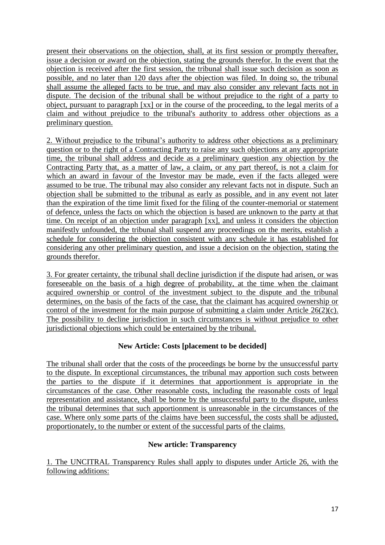present their observations on the objection, shall, at its first session or promptly thereafter, issue a decision or award on the objection, stating the grounds therefor. In the event that the objection is received after the first session, the tribunal shall issue such decision as soon as possible, and no later than 120 days after the objection was filed. In doing so, the tribunal shall assume the alleged facts to be true, and may also consider any relevant facts not in dispute. The decision of the tribunal shall be without prejudice to the right of a party to object, pursuant to paragraph [xx] or in the course of the proceeding, to the legal merits of a claim and without prejudice to the tribunal's authority to address other objections as a preliminary question.

2. Without prejudice to the tribunal's authority to address other objections as a preliminary question or to the right of a Contracting Party to raise any such objections at any appropriate time, the tribunal shall address and decide as a preliminary question any objection by the Contracting Party that, as a matter of law, a claim, or any part thereof, is not a claim for which an award in favour of the Investor may be made, even if the facts alleged were assumed to be true. The tribunal may also consider any relevant facts not in dispute. Such an objection shall be submitted to the tribunal as early as possible, and in any event not later than the expiration of the time limit fixed for the filing of the counter-memorial or statement of defence, unless the facts on which the objection is based are unknown to the party at that time. On receipt of an objection under paragraph [xx], and unless it considers the objection manifestly unfounded, the tribunal shall suspend any proceedings on the merits, establish a schedule for considering the objection consistent with any schedule it has established for considering any other preliminary question, and issue a decision on the objection, stating the grounds therefor.

3. For greater certainty, the tribunal shall decline jurisdiction if the dispute had arisen, or was foreseeable on the basis of a high degree of probability, at the time when the claimant acquired ownership or control of the investment subject to the dispute and the tribunal determines, on the basis of the facts of the case, that the claimant has acquired ownership or control of the investment for the main purpose of submitting a claim under Article 26(2)(c). The possibility to decline jurisdiction in such circumstances is without prejudice to other jurisdictional objections which could be entertained by the tribunal.

### **New Article: Costs [placement to be decided]**

The tribunal shall order that the costs of the proceedings be borne by the unsuccessful party to the dispute. In exceptional circumstances, the tribunal may apportion such costs between the parties to the dispute if it determines that apportionment is appropriate in the circumstances of the case. Other reasonable costs, including the reasonable costs of legal representation and assistance, shall be borne by the unsuccessful party to the dispute, unless the tribunal determines that such apportionment is unreasonable in the circumstances of the case. Where only some parts of the claims have been successful, the costs shall be adjusted, proportionately, to the number or extent of the successful parts of the claims.

#### **New article: Transparency**

1. The UNCITRAL Transparency Rules shall apply to disputes under Article 26, with the following additions: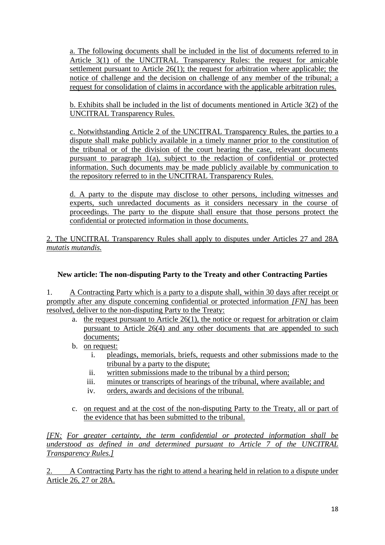a. The following documents shall be included in the list of documents referred to in Article 3(1) of the UNCITRAL Transparency Rules: the request for amicable settlement pursuant to Article 26(1); the request for arbitration where applicable; the notice of challenge and the decision on challenge of any member of the tribunal; a request for consolidation of claims in accordance with the applicable arbitration rules.

b. Exhibits shall be included in the list of documents mentioned in Article 3(2) of the UNCITRAL Transparency Rules.

c. Notwithstanding Article 2 of the UNCITRAL Transparency Rules, the parties to a dispute shall make publicly available in a timely manner prior to the constitution of the tribunal or of the division of the court hearing the case, relevant documents pursuant to paragraph 1(a), subject to the redaction of confidential or protected information. Such documents may be made publicly available by communication to the repository referred to in the UNCITRAL Transparency Rules.

d. A party to the dispute may disclose to other persons, including witnesses and experts, such unredacted documents as it considers necessary in the course of proceedings. The party to the dispute shall ensure that those persons protect the confidential or protected information in those documents.

2. The UNCITRAL Transparency Rules shall apply to disputes under Articles 27 and 28A *mutatis mutandis.*

### **New article: The non-disputing Party to the Treaty and other Contracting Parties**

1. A Contracting Party which is a party to a dispute shall, within 30 days after receipt or promptly after any dispute concerning confidential or protected information *[FN]* has been resolved, deliver to the non-disputing Party to the Treaty:

- a. the request pursuant to Article 26(1), the notice or request for arbitration or claim pursuant to Article 26(4) and any other documents that are appended to such documents;
- b. on request:
	- i. pleadings, memorials, briefs, requests and other submissions made to the tribunal by a party to the dispute;
	- ii. written submissions made to the tribunal by a third person;
	- iii. minutes or transcripts of hearings of the tribunal, where available; and
	- iv. orders, awards and decisions of the tribunal.
- c. on request and at the cost of the non-disputing Party to the Treaty, all or part of the evidence that has been submitted to the tribunal.

*[FN: For greater certainty, the term confidential or protected information shall be understood as defined in and determined pursuant to Article 7 of the UNCITRAL Transparency Rules.]*

2. A Contracting Party has the right to attend a hearing held in relation to a dispute under Article 26, 27 or 28A.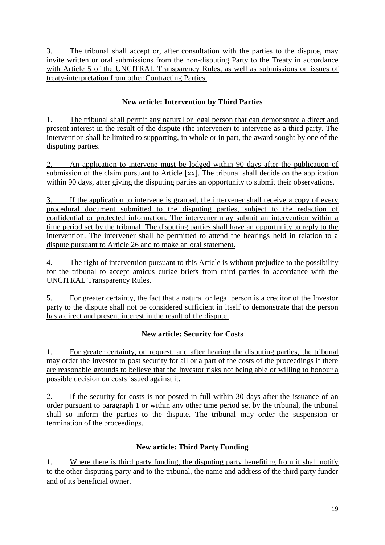3. The tribunal shall accept or, after consultation with the parties to the dispute, may invite written or oral submissions from the non-disputing Party to the Treaty in accordance with Article 5 of the UNCITRAL Transparency Rules, as well as submissions on issues of treaty-interpretation from other Contracting Parties.

## **New article: Intervention by Third Parties**

1. The tribunal shall permit any natural or legal person that can demonstrate a direct and present interest in the result of the dispute (the intervener) to intervene as a third party. The intervention shall be limited to supporting, in whole or in part, the award sought by one of the disputing parties.

2. An application to intervene must be lodged within 90 days after the publication of submission of the claim pursuant to Article [xx]. The tribunal shall decide on the application within 90 days, after giving the disputing parties an opportunity to submit their observations.

3. If the application to intervene is granted, the intervener shall receive a copy of every procedural document submitted to the disputing parties, subject to the redaction of confidential or protected information. The intervener may submit an intervention within a time period set by the tribunal. The disputing parties shall have an opportunity to reply to the intervention. The intervener shall be permitted to attend the hearings held in relation to a dispute pursuant to Article 26 and to make an oral statement.

4. The right of intervention pursuant to this Article is without prejudice to the possibility for the tribunal to accept amicus curiae briefs from third parties in accordance with the UNCITRAL Transparency Rules.

5. For greater certainty, the fact that a natural or legal person is a creditor of the Investor party to the dispute shall not be considered sufficient in itself to demonstrate that the person has a direct and present interest in the result of the dispute.

### **New article: Security for Costs**

1. For greater certainty, on request, and after hearing the disputing parties, the tribunal may order the Investor to post security for all or a part of the costs of the proceedings if there are reasonable grounds to believe that the Investor risks not being able or willing to honour a possible decision on costs issued against it.

2. If the security for costs is not posted in full within 30 days after the issuance of an order pursuant to paragraph 1 or within any other time period set by the tribunal, the tribunal shall so inform the parties to the dispute. The tribunal may order the suspension or termination of the proceedings.

### **New article: Third Party Funding**

1. Where there is third party funding, the disputing party benefiting from it shall notify to the other disputing party and to the tribunal, the name and address of the third party funder and of its beneficial owner.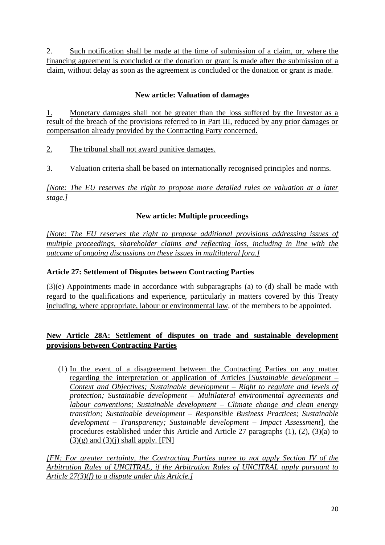2. Such notification shall be made at the time of submission of a claim, or, where the financing agreement is concluded or the donation or grant is made after the submission of a claim, without delay as soon as the agreement is concluded or the donation or grant is made.

### **New article: Valuation of damages**

1. Monetary damages shall not be greater than the loss suffered by the Investor as a result of the breach of the provisions referred to in Part III, reduced by any prior damages or compensation already provided by the Contracting Party concerned.

2. The tribunal shall not award punitive damages.

3. Valuation criteria shall be based on internationally recognised principles and norms.

*[Note: The EU reserves the right to propose more detailed rules on valuation at a later stage.]*

## **New article: Multiple proceedings**

*[Note: The EU reserves the right to propose additional provisions addressing issues of multiple proceedings, shareholder claims and reflecting loss, including in line with the outcome of ongoing discussions on these issues in multilateral fora.]*

## **Article 27: Settlement of Disputes between Contracting Parties**

(3)(e) Appointments made in accordance with subparagraphs (a) to (d) shall be made with regard to the qualifications and experience, particularly in matters covered by this Treaty including, where appropriate, labour or environmental law, of the members to be appointed.

## **New Article 28A: Settlement of disputes on trade and sustainable development provisions between Contracting Parties**

(1) In the event of a disagreement between the Contracting Parties on any matter regarding the interpretation or application of Articles [*Sustainable development – Context and Objectives; Sustainable development – Right to regulate and levels of protection; Sustainable development – Multilateral environmental agreements and labour conventions; Sustainable development – Climate change and clean energy transition; Sustainable development – Responsible Business Practices; Sustainable development – Transparency; Sustainable development – Impact Assessment*], the procedures established under this Article and Article 27 paragraphs (1), (2), (3)(a) to  $(3)(g)$  and  $(3)(i)$  shall apply. [FN]

*[FN: For greater certainty, the Contracting Parties agree to not apply Section IV of the Arbitration Rules of UNCITRAL, if the Arbitration Rules of UNCITRAL apply pursuant to Article 27(3)(f) to a dispute under this Article.]*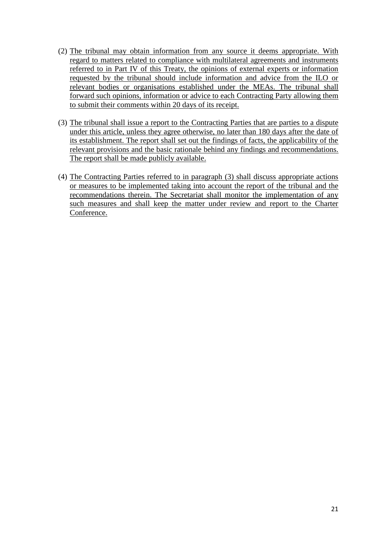- (2) The tribunal may obtain information from any source it deems appropriate. With regard to matters related to compliance with multilateral agreements and instruments referred to in Part IV of this Treaty, the opinions of external experts or information requested by the tribunal should include information and advice from the ILO or relevant bodies or organisations established under the MEAs. The tribunal shall forward such opinions, information or advice to each Contracting Party allowing them to submit their comments within 20 days of its receipt.
- (3) The tribunal shall issue a report to the Contracting Parties that are parties to a dispute under this article, unless they agree otherwise, no later than 180 days after the date of its establishment. The report shall set out the findings of facts, the applicability of the relevant provisions and the basic rationale behind any findings and recommendations. The report shall be made publicly available.
- (4) The Contracting Parties referred to in paragraph (3) shall discuss appropriate actions or measures to be implemented taking into account the report of the tribunal and the recommendations therein. The Secretariat shall monitor the implementation of any such measures and shall keep the matter under review and report to the Charter Conference.